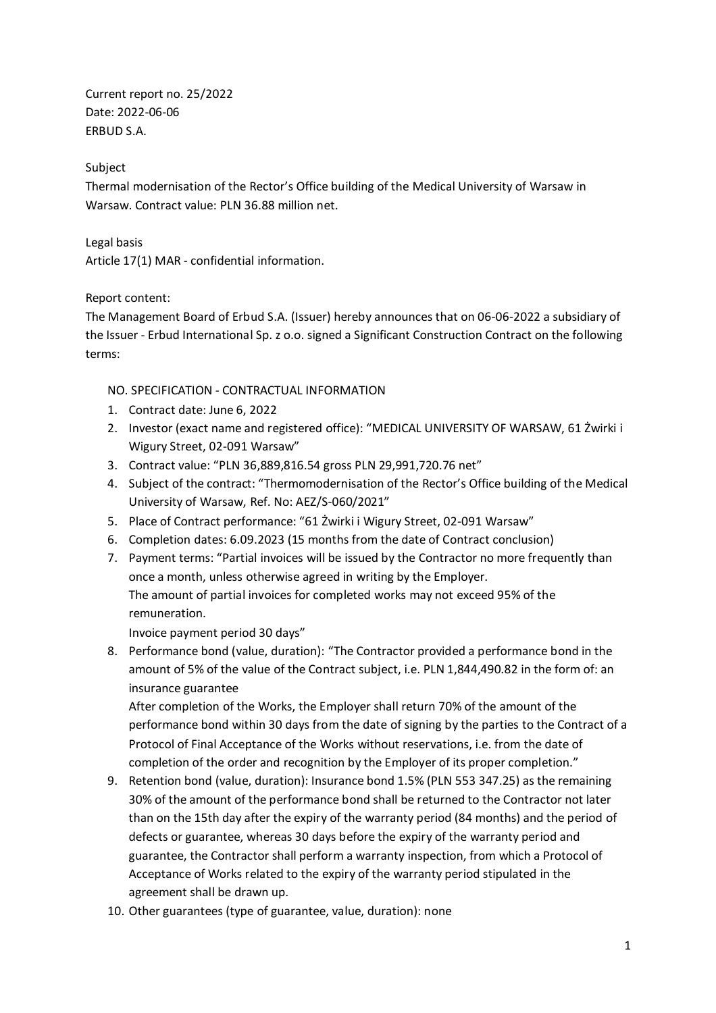Current report no. 25/2022 Date: 2022-06-06 ERBUD S.A.

## Subject

Thermal modernisation of the Rector's Office building of the Medical University of Warsaw in Warsaw. Contract value: PLN 36.88 million net.

Legal basis Article 17(1) MAR - confidential information.

## Report content:

The Management Board of Erbud S.A. (Issuer) hereby announces that on 06-06-2022 a subsidiary of the Issuer - Erbud International Sp. z o.o. signed a Significant Construction Contract on the following terms:

## NO. SPECIFICATION - CONTRACTUAL INFORMATION

- 1. Contract date: June 6, 2022
- 2. Investor (exact name and registered office): "MEDICAL UNIVERSITY OF WARSAW, 61 Żwirki i Wigury Street, 02-091 Warsaw"
- 3. Contract value: "PLN 36,889,816.54 gross PLN 29,991,720.76 net"
- 4. Subject of the contract: "Thermomodernisation of the Rector's Office building of the Medical University of Warsaw, Ref. No: AEZ/S-060/2021"
- 5. Place of Contract performance: "61 Żwirki i Wigury Street, 02-091 Warsaw"
- 6. Completion dates: 6.09.2023 (15 months from the date of Contract conclusion)
- 7. Payment terms: "Partial invoices will be issued by the Contractor no more frequently than once a month, unless otherwise agreed in writing by the Employer. The amount of partial invoices for completed works may not exceed 95% of the remuneration.

Invoice payment period 30 days"

8. Performance bond (value, duration): "The Contractor provided a performance bond in the amount of 5% of the value of the Contract subject, i.e. PLN 1,844,490.82 in the form of: an insurance guarantee

After completion of the Works, the Employer shall return 70% of the amount of the performance bond within 30 days from the date of signing by the parties to the Contract of a Protocol of Final Acceptance of the Works without reservations, i.e. from the date of completion of the order and recognition by the Employer of its proper completion."

- 9. Retention bond (value, duration): Insurance bond 1.5% (PLN 553 347.25) as the remaining 30% of the amount of the performance bond shall be returned to the Contractor not later than on the 15th day after the expiry of the warranty period (84 months) and the period of defects or guarantee, whereas 30 days before the expiry of the warranty period and guarantee, the Contractor shall perform a warranty inspection, from which a Protocol of Acceptance of Works related to the expiry of the warranty period stipulated in the agreement shall be drawn up.
- 10. Other guarantees (type of guarantee, value, duration): none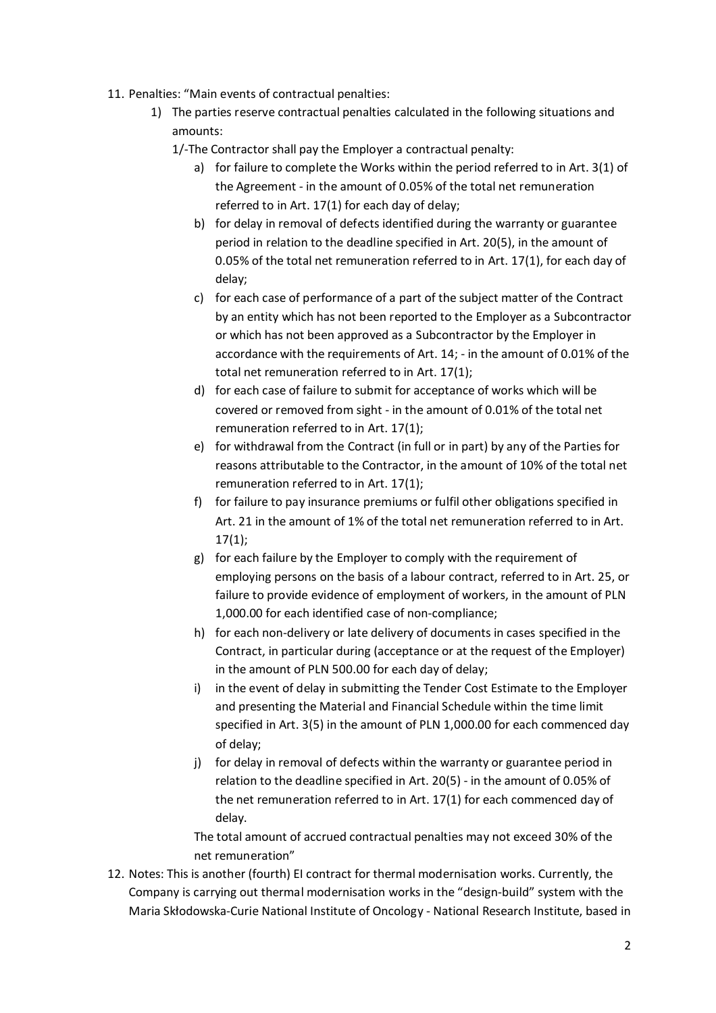- 11. Penalties: "Main events of contractual penalties:
	- 1) The parties reserve contractual penalties calculated in the following situations and amounts:
		- 1/-The Contractor shall pay the Employer a contractual penalty:
			- a) for failure to complete the Works within the period referred to in Art. 3(1) of the Agreement - in the amount of 0.05% of the total net remuneration referred to in Art. 17(1) for each day of delay;
			- b) for delay in removal of defects identified during the warranty or guarantee period in relation to the deadline specified in Art. 20(5), in the amount of 0.05% of the total net remuneration referred to in Art. 17(1), for each day of delay;
			- c) for each case of performance of a part of the subject matter of the Contract by an entity which has not been reported to the Employer as a Subcontractor or which has not been approved as a Subcontractor by the Employer in accordance with the requirements of Art. 14; - in the amount of 0.01% of the total net remuneration referred to in Art. 17(1);
			- d) for each case of failure to submit for acceptance of works which will be covered or removed from sight - in the amount of 0.01% of the total net remuneration referred to in Art. 17(1);
			- e) for withdrawal from the Contract (in full or in part) by any of the Parties for reasons attributable to the Contractor, in the amount of 10% of the total net remuneration referred to in Art. 17(1);
			- f) for failure to pay insurance premiums or fulfil other obligations specified in Art. 21 in the amount of 1% of the total net remuneration referred to in Art.  $17(1)$ ;
			- g) for each failure by the Employer to comply with the requirement of employing persons on the basis of a labour contract, referred to in Art. 25, or failure to provide evidence of employment of workers, in the amount of PLN 1,000.00 for each identified case of non-compliance;
			- h) for each non-delivery or late delivery of documents in cases specified in the Contract, in particular during (acceptance or at the request of the Employer) in the amount of PLN 500.00 for each day of delay;
			- i) in the event of delay in submitting the Tender Cost Estimate to the Employer and presenting the Material and Financial Schedule within the time limit specified in Art. 3(5) in the amount of PLN 1,000.00 for each commenced day of delay;
			- j) for delay in removal of defects within the warranty or guarantee period in relation to the deadline specified in Art. 20(5) - in the amount of 0.05% of the net remuneration referred to in Art. 17(1) for each commenced day of delay.

The total amount of accrued contractual penalties may not exceed 30% of the net remuneration"

12. Notes: This is another (fourth) EI contract for thermal modernisation works. Currently, the Company is carrying out thermal modernisation works in the "design-build" system with the Maria Skłodowska-Curie National Institute of Oncology - National Research Institute, based in